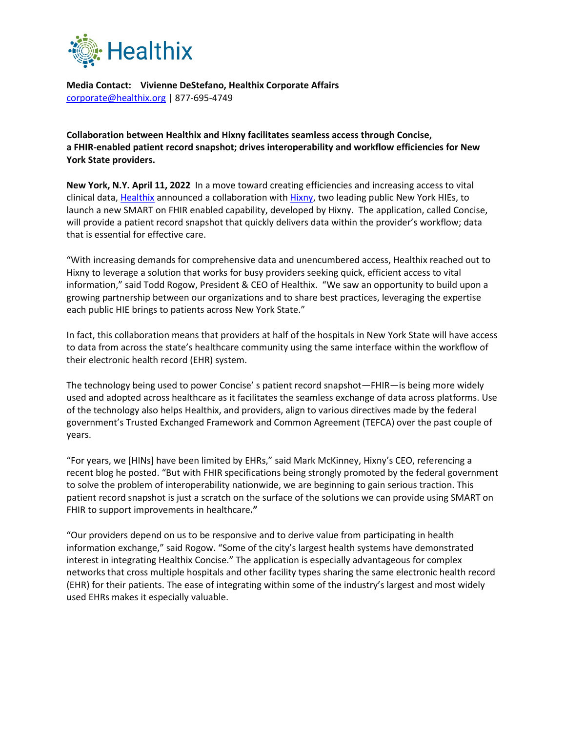

**Media Contact: Vivienne DeStefano, Healthix Corporate Affairs** [corporate@healthix.org](mailto:corporate@healthix.org) | 877-695-4749

**Collaboration between Healthix and Hixny facilitates seamless access through Concise, a FHIR-enabled patient record snapshot; drives interoperability and workflow efficiencies for New York State providers.**

**New York, N.Y. April 11, 2022** In a move toward creating efficiencies and increasing access to vital clinical data, [Healthix](https://healthix.org/) announced a collaboration with [Hixny,](https://www.hixny.org/) two leading public New York HIEs, to launch a new SMART on FHIR enabled capability, developed by Hixny. The application, called Concise, will provide a patient record snapshot that quickly delivers data within the provider's workflow; data that is essential for effective care.

"With increasing demands for comprehensive data and unencumbered access, Healthix reached out to Hixny to leverage a solution that works for busy providers seeking quick, efficient access to vital information," said Todd Rogow, President & CEO of Healthix. "We saw an opportunity to build upon a growing partnership between our organizations and to share best practices, leveraging the expertise each public HIE brings to patients across New York State."

In fact, this collaboration means that providers at half of the hospitals in New York State will have access to data from across the state's healthcare community using the same interface within the workflow of their electronic health record (EHR) system.

The technology being used to power Concise' s patient record snapshot—FHIR—is being more widely used and adopted across healthcare as it facilitates the seamless exchange of data across platforms. Use of the technology also helps Healthix, and providers, align to various directives made by the federal government's Trusted Exchanged Framework and Common Agreement (TEFCA) over the past couple of years.

"For years, we [HINs] have been limited by EHRs," said Mark McKinney, Hixny's CEO, referencing a recent blog he posted. "But with FHIR specifications being strongly promoted by the federal government to solve the problem of interoperability nationwide, we are beginning to gain serious traction. This patient record snapshot is just a scratch on the surface of the solutions we can provide using SMART on FHIR to support improvements in healthcare**."**

"Our providers depend on us to be responsive and to derive value from participating in health information exchange," said Rogow. "Some of the city's largest health systems have demonstrated interest in integrating Healthix Concise." The application is especially advantageous for complex networks that cross multiple hospitals and other facility types sharing the same electronic health record (EHR) for their patients. The ease of integrating within some of the industry's largest and most widely used EHRs makes it especially valuable.